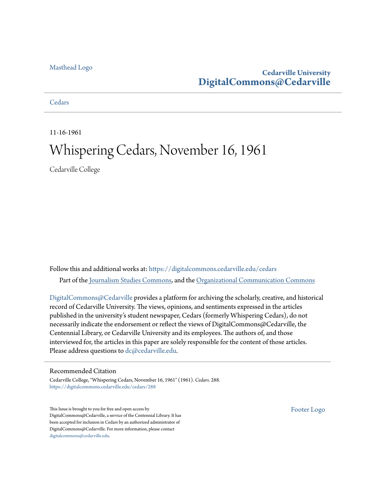# [Masthead Logo](http://www.cedarville.edu/?utm_source=digitalcommons.cedarville.edu%2Fcedars%2F288&utm_medium=PDF&utm_campaign=PDFCoverPages)

# **Cedarville University [DigitalCommons@Cedarville](https://digitalcommons.cedarville.edu?utm_source=digitalcommons.cedarville.edu%2Fcedars%2F288&utm_medium=PDF&utm_campaign=PDFCoverPages)**

# **[Cedars](https://digitalcommons.cedarville.edu/cedars?utm_source=digitalcommons.cedarville.edu%2Fcedars%2F288&utm_medium=PDF&utm_campaign=PDFCoverPages)**

11-16-1961

# Whispering Cedars, November 16, 1961

Cedarville College

Follow this and additional works at: [https://digitalcommons.cedarville.edu/cedars](https://digitalcommons.cedarville.edu/cedars?utm_source=digitalcommons.cedarville.edu%2Fcedars%2F288&utm_medium=PDF&utm_campaign=PDFCoverPages) Part of the [Journalism Studies Commons](http://network.bepress.com/hgg/discipline/333?utm_source=digitalcommons.cedarville.edu%2Fcedars%2F288&utm_medium=PDF&utm_campaign=PDFCoverPages), and the [Organizational Communication Commons](http://network.bepress.com/hgg/discipline/335?utm_source=digitalcommons.cedarville.edu%2Fcedars%2F288&utm_medium=PDF&utm_campaign=PDFCoverPages)

[DigitalCommons@Cedarville](http://digitalcommons.cedarville.edu/) provides a platform for archiving the scholarly, creative, and historical record of Cedarville University. The views, opinions, and sentiments expressed in the articles published in the university's student newspaper, Cedars (formerly Whispering Cedars), do not necessarily indicate the endorsement or reflect the views of DigitalCommons@Cedarville, the Centennial Library, or Cedarville University and its employees. The authors of, and those interviewed for, the articles in this paper are solely responsible for the content of those articles. Please address questions to [dc@cedarville.edu.](mailto:dc@cedarville.edu)

# Recommended Citation

Cedarville College, "Whispering Cedars, November 16, 1961" (1961). *Cedars*. 288. [https://digitalcommons.cedarville.edu/cedars/288](https://digitalcommons.cedarville.edu/cedars/288?utm_source=digitalcommons.cedarville.edu%2Fcedars%2F288&utm_medium=PDF&utm_campaign=PDFCoverPages)

This Issue is brought to you for free and open access by DigitalCommons@Cedarville, a service of the Centennial Library. It has been accepted for inclusion in Cedars by an authorized administrator of DigitalCommons@Cedarville. For more information, please contact [digitalcommons@cedarville.edu](mailto:digitalcommons@cedarville.edu).

[Footer Logo](http://www.cedarville.edu/Academics/Library.aspx?utm_source=digitalcommons.cedarville.edu%2Fcedars%2F288&utm_medium=PDF&utm_campaign=PDFCoverPages)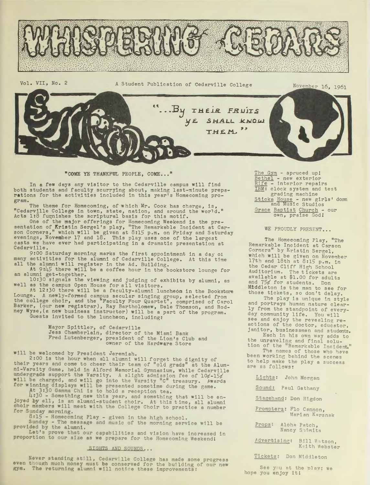

# **ncoME** YE THANKFUL PEOPLE, COME •.• <sup>11</sup>

In a few days any visitor to the Cedarville campus will find both students and faculty scurrying about, making last-minute preparations for the activities included in this year's Homecoming program .

The theme for Homecoming, of which Mr. Cook has charge, is, "Cedarville College in town, state, nation, and around the world." Acts 1:8 furnishes the scriptural basis for this motif.

One of the major offerings for Homecoming Weekend is the presentation of Kristin Sergel's play, "The Remarkable Incident at Carson Corners," which will be given at 8:15 p.m. on Friday and Saturday evenings, November 17 and 18. This play uses one of the largest casts we have ever had participating in a dramatic presentation at Cedarville.

9:00 Saturday morning marks the first appointment in a day of many activities for the alumni of Cedarville College. At this time all the alumni will register in the Ad. Building.

At  $9:45$  there will be a coffee hour in the bookstore lounge for an alumni get-together.

10:30 signals the viewing and judging of exhibits by alumni, as well as the campus Open House for all visitors.  $\,$ 

At 12:30 there will be a faculty-alumni lunche on in the Bookstore Lounge. A newly-formed campus secular singing group, selected from the college choir, and the "Faculty Four Quartet", comprised of Carol Barker, (our new registrar), Ray Bartholomew, Dale Thomson, and Rodney Wyse, (a new business instructor) will be a part of the program. Guests invited to the luncheon, including:

> Mayor Spittler, of Cedarville Jess Chamberlain, director of the Miami Bank Fred Lutenberger, president of the Lion's Club and owner of the Hardware Store

will be welcomed by President Jeremiah.

2:00 is the hour when all alumni will forget the dignity of their years and come to cheer their team of "old grads" at the Alumni - Varsity Game , held in Alford Memorial Gymnasium , while Cedarville undergrads support the Varsity. A slight admission fee of  $10\ell$ -15 $\ell$ will be charged, and will go into the Varsity "C" treasury. Awards for winning displays will be presented sometime during the game.

At 3:30 Gamma Chi is to hold a reception tea.

4:30 - Something new thts year, and something that will be enjoyed by all, is an alumni-student choir. At this time, all alumni choir members will meet with the College Choir to practice a number for Sunday morning.

 $8:15$  - Homecoming Play - given in the high school.

Sunday - The message and music of the morning service wtll be provided by the alumni.

Let's prove that our capabilities and vision have increased in proportion to our size as we prepare for the Homecoming Weekendl

# SIGHTS AND SOUNDS...

Never standing still, Cedarville College has made some progress even though much money must be conserved for the building of our new The returning alumni will notice these improvements:

The Gym - spruced up! Bethel - new exterior Rife - interior repairs IBM: clock system and test grading machine  $Sticka$  House - new girls' domm and Music Studios Grace Baptist Church - our own, praise God!

WE PROUDLY PRESENT...

The Homecoming Play, "The Remarkable Incident at Carson Corners" by Kristin Sergel, which will be given on November 17th and 18th at 8:15 p.m. in the Cedar Cliff High School Auditorium. The tickets are avail able at \$1 . 00 for adults and 75¢ for students. Don Middleton is the man to see for those tickets, so don't delay.

The play is unique in style and portrays human nature clearly from the standpoint of everyday community life. You will see and enjoy the revealing reactions of the doctor, educator, janitor, businessmen and students.

Each in his own way adds to the unraveling and final solution of the "Remarkable Incident."

The names of those who have been working behind the scenes to help make the play a success<br>are as follows:

Lights: John Morgan

Sound: Paul Gathany

Stagehand: Don Higdon

Promptera: Flo Cannon, Marian Karsnak

Props: Aloha Patch, Nancy Shimits

Advertising: Bill Watson, Keith Webster

Tickets: Don Middleton

See you at the play; we hope you enjoy it!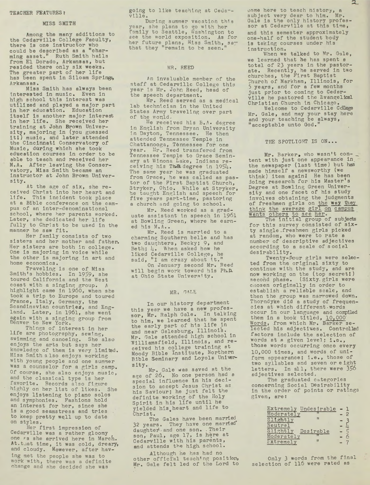# TEACHER FEATURES:

# MISS SMITH

Among the many additions to the Cedarville College Faculty, there is one instructor who could be described as a "charming asset." Ruth Smith hails from El Dorado, Arkansas, but resided there only six weeks. The greater part of her life has been spent in Siloam Spring;,

Arkansas.<br>Miss Smith has always been nterested in music. Even in high school this interest was utilized and played a major part in her education. Education itself is another major interest in her life. She received her training at John Brown Univer-<br>sity, majoring in (you guessed it!) music, and later attended the Cincinnati Conservatory of Music, during which she took ed ucation courses in order to be able to teach and received her M. A. After leaving the Conser- vatory, Mi ss Smith became an instructor at John Brown Uni versity.

At the age of six, she received Christ into her heart and life. This incident took place at a Bible conference on the campus of an inter-denominational school, where her parents worked.<br>Later, she dedicated her life fully to Christ to be used in the manner he saw fit.

Her family consists of two sisters and her mother and father. Her sisters are both in college.<br>One is majoring in voice while the other is majoring in art and home economics.

Traveling is one of Miss Smith's hobbies. In 1959, she toured California and the West coast with a singing group. A<br>highlight came in 1960, when she took a trip to Europe and toured France, Italy, Germany, the Scandinavian countries, and England. Later, in 1961, she went again with a singing group from Denver to New York.

Things of interest in her life are photography, sewing, swimming and canoeing. She also enjoys the arts but says her knowledge of them is very limited.<br>Miss Smith also enjoys working with young people and one summer was a counselor for a girls camp. Of course, she also enjoys music, and the classical type is her favorite. Records also figure highly on her list of likes. She enjoys listening to piano solos and symphonies. Fashions hold and symphonies. Fashions hold<br>an interest for her, since she is a good seamstress and tries. to keep pretty well up to date on styles.

Her first impression of Cedarville was a rather gloomy one  $rs$  she arrived here in March. one as she arrived here in march.<br>At.t.at time, it was cold, dreary, and cloudy. However, after having met the people she was to work with, there was a definite change and she decided she was

going to like teaching at Ceda--<br>ville.

During summer vacation this year, she plans to go with her family to Seattle, Washington to see the world exposition. As for her future plans, Miss Smith, saw that they "remain to be seen."

# MR . REED

An invaluable member of the staff at Cedarville College this year is Mr. John Reed, head of<br>the speech department.

Mr. Reed served as a medical lab technician in the United States Army traveling over part of the wonld.

He received his B.A. degree in English from Bryan University in Dayton, Tennessee. He then attended Te nnessee Temple in Chattanooga, Tennessee for one year. Mr. Reed transfered from Tennessee Temple to Grace Seminary at Winona Lake, Indiana re-<br>ceiving his Th-B.degree in 1954. ceiving his Th.B. degree in 1954.<br>The same year he was graduated<br>from Grace, he was called as pas-<br>tor of the First Baptist Church, Stryker, Ohio. While at Stryker, he taught English and speech for five years part-time, pastoring a church and going to school.

Mr. Reed worked as a grad-<br>uate assistant in speech in 1961 at Bowling Green, where he earn-ed his M.A..

Mr. Reed is married to a charming S9uthern belle and has two daughters, Becky; 9, and Beth;  $\mu_{\bullet}$  When asked how he liked Cedarville College, he said, "I am crazy about it."

On January second Mr. Reed will begin work toward his Ph.D. at Ohio State University.

### MR. GALE

In our history department this year we have a new professor, Mr. Ralph Gale. In talking to him, we learned that he spent the early part of his life in<br>and near Galesburg, Illinois. and nearly part of his fire ...<br>and near Galesburg, Illinois.<br>Mr. Gale attended high school in MI: Which socchood high stand re-<br>'Nilliamsfield, Illinois, and re-<br>ceived his college training at ceived his college training at<br>Moody Bible Institute, Northern Bible Seminary and Loyola Univer-

sity. Mr. Gale was saved at the age of 26. No one person had a special influence in his deci-<br>sion to accept Jesus Christ as sion to accept besus on is the definite working of the Holy definite working of the more yielded his.heart and life to<br>Christ. Christ.<br>The Gales have been married

32 years. They have one married daughter and one son. Their son, Paul, age 17, is here at Cedarville with his parents, and attends the high school.

Although he has had no<br>other official teaching position,<br>Mr. Gale felt led of the Lord to

come here to teach history, a subject very dear to him. Mr. subject very dear to him. Mr.<br>Gale is the only history professor at Cedarville at this time, and this semester approximately one -half of the student body is taking courses under his

When we talked to Mr. Gale, we learned that he has spent a total of 23 years in the pastor-<br>ate. Recently, he served in two churches, the First Baptist Church of Markham, Illinois, for  $5$  years, and for a few months just prior to coming to Cedar-<br>ville he pastored the Evangelical<br>Christian Church in Chicago.

Welcome to Cedarville Ccllege Mr. Gale, and may your stay here and your teaching be always,<br>"acceptable unto God."

# THE SPOTLIGHT IS ON...

Mr. Barker, who wasn't con-<br>tent with just one appearance in<br>the newspaper (last time) but has made himself a newsworthy (we think) item again! He has been doing research for his Master's Degree at Bowling Green University and one facet of his study involves obtaining the judgments of freshmen girls on the way they think the average girl on campus wants others to see her.<br>The initial group of subjects

for this survey consisted of sixty single .freshmen girls picked at random, who were to rate a number of descriptive adjectives according to a scale of social<br>desirability.

Twenty-four girls were selec-<br>ted from the original sixty to continue with the study, and are now working on the (top secret!) now working on the voop secrett, c nosen originally in order to establish a reliable scale, and then the group was narrowed down.<br>Thorndyke did a study of frequen-<br>cies at which different.words occur in our language and compiled them in a book titled, 10,000<br>Words, from which Mr. Barker selected his adjectives. Controlled factors include the selection of words at a given level; i.e., those words occurring once every<br>10,000 times, and words of uniform appearance; i.e., those of two syllables and seven or eight letters. In all, there were 356 adjectives selected.

The graduated categories<br>concerning Social Desirability in the order of points or ratings given, are:

| Extremely Undesirable |  |
|-----------------------|--|
| Moderately            |  |
| Slightly              |  |
| Neutrel               |  |
| Slightly<br>Desirable |  |
| Moderately            |  |
| <b>Extremely</b>      |  |

Only 3 words from the final selection of 116 were rated as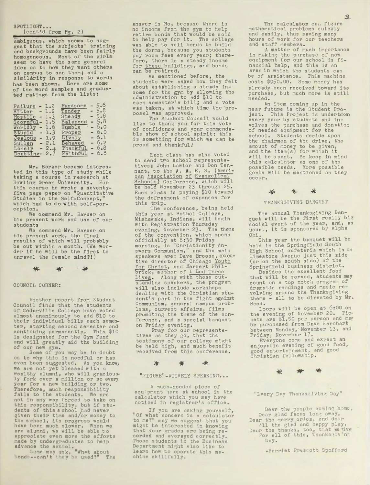# SPOTLIGHT...<br>(cont'd from Pg. 2)

ambiguous, which seems to sug-<br>gest that the subjects' training and backgrounds have been fairly homogeneous. Most of the girls<br>seem to have the same general idea as to how they want others on campus to see them; and a similarity in response to words has been shown. Here are some of the word samples and graduated ratings from the lists:

| $Fallure - 1.2$ |        | Handsome  | $-5.6$ |
|-----------------|--------|-----------|--------|
| $Bitter - 1.2$  |        | Tender    | $-5.8$ |
| $Hostile - 1.3$ |        | Steady    | $-5.8$ |
| $Scornful-1.5$  |        | Balanced  | $-5.8$ |
| Worldly - 1.6   |        | Humble    | $-6.0$ |
| Stupid          | $-1.3$ | Proper    | $-6.0$ |
| Jealous         | $-1.9$ | $L1$ vely | $-6.1$ |
| Sullen          | $-2.1$ | Behaved   | $-6.2$ |
| Lonely          | $-2.4$ | Thankful  | $-6.8$ |
| Doubting- $2.7$ |        | Faithful  | $-6.8$ |

Mr. Barker became interested in this type of study while taking a course in research at Bowling Green University. For this course he wrote a seventyfive page paper on "Quantitative Studies in the Self-Concept, which had to do with self-perception.

We commend Mr. Barker on his present work and use of our students

We commend Mr. Barker on his present work, the final results of which will probably be out within a month. (We won-<br>der if he will be the first to unravel the female mind?!)

 $\star$ **Alt** 

# COUNCIL CORNER:

Another report from Student Council finds that the students of Cedarville College have voted almost unanimously to add \$10 to their individual bills each semester, starting second semester and continuing permanently. This \$10<br>is designated for the Gym Fund and will greatly aid the building

of our new gym.<br>Some of you may be in doubt<br>as to why this is needful or has even been suggested. As you know, we are not yet blessed with a wealthy alumni, who will graciously fork over a million or so every<br>year for a new building or two. Therefore, much responsibility falls to the students. We are<br>not in any way forced to take on this responsibility, but if stu-<br>dents of this school had never<br>given their time and/or money to the school, its progress would<br>have been much slower. When we are alumni, we will be able to<br>appreciate even more the efforts made by undergraduates to help

advence the school.<br>Some may ssk, "What about<br>bonds--can't they be used?" The

answer is No, because there is no income from the gym to help retire bonds that would be sold to help pay for it. The college<br>was able to sell bonds to build the dorms, because you students pay room fees every year; there-<br>fore, there is a steady income for these buildings, and bonds can be retired.

As mentioned before, the<br>students were asked how they felt about establishing a steady income for the gym by allowing the administration to add \$10 to<br>each semester's bill; and a vote was taken, at which time the pro-<br>posal was approved.

The Student Council would like to thank you for this vote of confidence and your commendable show of school spirit; this is something for which we can be proud and thankful!

Each class has also voted to send two school representstives; John Lawlor and Don Ten-<br>nant, to the A. A. E. S. (Ameri-<br>can Association of Evangelical Schools) Conference, which will<br>be held November 23 through 25. Each class is paying \$10 toward the defrayment of expenses for this trip.

The conference, being held<br>this year at Bethel College, Mishawaka, Indiana, will begin with Registration Thursday evening, November 23. The theme of the convenient 25. The diem<br>of the convention, which opens<br>officially at 8:30 Friday<br>morning, is "Christianity An-<br>swers Communism," and the mein speakers are: Dave Breese, execu-<br>tive director of Chicago Youth for Christ, and Herbert Philbrick, author of I Led Three Along with these out-Lives. standing speakers, the program will also include workshops dealing with the Christian student's part in the fight against Communism, general campus problems, current effeirs, films<br>promoting the theme of the conference, and a special banquet on Friday evening.

Pray for our representa-<br>tives as they go, that the testimony of our college might be held high, and much benefit<br>received from this conference.

# 咪

# "FIGURE"-ATIVELY SPEAKING...

A much-needed piece of equipment tere at school is the calculator which you may have noticed in registrar's office.

If you are asking yourself, "Of what concern is a caloulator to me?" may we suggest that you might be interested in knowing that your grades are being re-<br>corded and averaged correctly. Those students in the Business Department might also like to learn how to operate this machine skillfully.

The calculator can figure mathematical problems quickly and easily, thus saving many hours of work for our teachers<br>and staff members.

A matter of much importance in making the purchase of new<br>equipment for our school is financial help, and this is an<br>area in which the students can be of assistance. This machine costs \$950.00. Some money has already been received toward its purchase, but much more is still needed.

An item coming up in the<br>near future is the Student Project. This Project is undertaken every year by students and involves the purchase and donation of needed equipment for the school. Students decide upon the chairmen of the drive, the amount of money to be given,<br>and the item(s) for which it will be spent. So keep in mind this calculator as one of the possible needs. More possible goals will be mentioned as they occur.



# THANKSGIVING BANGUET

The annual Thanksgiving Banquet will be the first really big social event of the year, and, as<br>usual, it is sponsored by Alpha Chi.

This year the banquet will be<br>held in the Springfield South High School cafeteria which is on Limestone Avenue just this side<br>(or on the south side) of the Springfield business district.

Besides the excellent food that will be served, students may count on a top notch program of dramatic readings and music revolving around the Thanksgiving theme - all to be directed by Mr. Reed.

Loors will be open at 6:00 on<br>the evening of November 20. Tickets are \$1.50 per person and may be purchased from Dave Earnhart between Monday, November 13, and Friday, November 17.

Everyone come and expect an<br>enjoyable evening of good food, good entertainment, and good Christian fellowship.

| * | * | 米 |  |
|---|---|---|--|
|   |   |   |  |

# "Lvery Day Thanks jiving Day"

Dear the people coming home, Dear glad faces long away, Dear the merry cries, and dear All the glad and happy play. Dear the thanks, too, that we nve<br>For all of this, Thanks nv'n Day.

-Harriet Prescott Spofford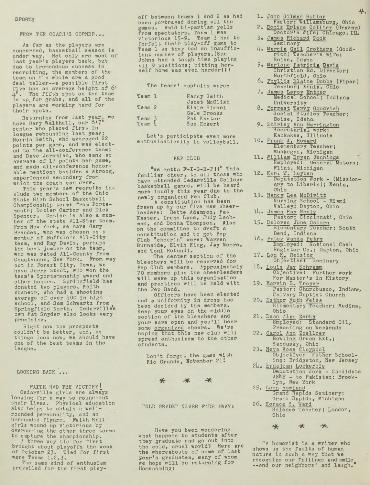# **SPORTS**

# FROM THE COACH'S CORNER...

As far as the players are concerned, basketball season is under way. Not only are most of last year's players back, but due to tremendous success in recruiting, the members of the team on t'·s whole are a good deal taller--a possible first five has an average height of  $6$ '  $4$ ". The fifth spot on the team is up for grabs, and all of the players are working hard for their spots.

Returning from last year, we have Gary Walthall, our 6'7" center who placed first in league rebounding last year; Norris Smith, who averaged 22 points per game, and was elected to the all-conference team; and Dave Jeremiah, who sank an average of 17 points per game , and made all-conference honorable mention; besides a strong, experienced secondary from which the coach can draw.

This year's new recruits include two members of the Ohio State High School Basketball Championship team: from Portsmoutb.; Dozier Carter and Dick Spencer. Dozier is also a member of the state All-Star team. From New York, we have Gary Brandes, who was chosen as <sup>a</sup> member of Buffalo's All-City team, and Ray Davis , perhaps the best jumper on the team, who was rated All-County from Chautauqua, New York. From way out in Forest City, Iowa, we have Jerry Stadt, who won the team's Sportsmanship award and other honors . Springfield has donated two players, Keith Absheor, who had a shooting average of over 400 in high school, and Sam Schwartz from Springfield North. Cedarvilles own Pat Snyder also looks very promising.

Right now the prospects couldn't be better, and, as things look now, we should have one of the best teams in the league.

# LOOKING BACK ...

FAITH HAD THE VICTORY I Cedarville girls are always looking for a way to round-out their lives. Physical education also helps to obtain a wellrounded personality, and an unrounded figure. Faith Hall girls wound up victorious by overcoming the other three teams to capture the championship . *<sup>t</sup>*three way tie for first brought about playoffs the week of October 23. Tied for fjrst were Teams 1,2,3.

The same kind of enthusiam prevailed for the first play-

off between teams 1 and 2 as had been portrayed during all the games. Amid bi-partism yells from spectators, Team 1 was victorious 15-9. Team 3 had to forfeit their play-off game to Team 1 as they had an insufficient number of players.(Sue Johns had a tough time playing all 9 positions; hitting herself home was even harder!!)

# The teams' captains were:

| Team 1            | Nancy Smith   |
|-------------------|---------------|
|                   | Janet McClish |
| Team <sub>2</sub> | Elsie Himsel  |
|                   | Gale Brooks   |
| Team 3            | Pat Kaster    |
| Team 4            | Sue Eckert    |

Let's participate even more enthusiastically in volleyball.

### PEP CLUB

"We gotta  $F-I-G-H-T II"$  This familiar cheer, to all those who have attended Cedarville College basketball games, will be heard more loudly this year due to the newly organized Pep Club. A constitution has been drawn up by our five new cheerleaders: Bette Adamson, Pat Kaster, Irene Lane, Judy Lachman, and Donna Thompson. Also on the committee to draft <sup>a</sup> constitution and to get Pep Club "cheerin" were: Warren Burnside, Elvin King, Jay Moore, and Toni Rotundi.

The center section of the bleachers will be reserved for Pep Club members. Approximately 70 members plus the cheerleaders will make up this organization and practices will be held with the Pep Band.

Officers have been elected and a uniformity in dress has been decided by the members. Keep your eyes on the middle section of the bleachers and your ears open and you'll hear some organized cheers. We're hoping that this new club will spread enthusiasm to the other students.

Don't forget the game with Rio Grande, November 21!

⋇

"OLD GRADS" NEVER FADE AWAY:

Have you been wondering what happens to students after they graduate and go out into the cold, cruel world? Here are the whereabouts of some of last fear's graduates , many of whom we hope will be returning for Homecoming:

- 1 . John Gilman Butler
	- Pastor; Willamsburg, Ohio 2 . Donis Erlene Collier (Gravens)
- Doctor's Wife; Chicago, Ill. 3 . James Richard Cook
- **Seminary**
- 4. Marcia Gail Crothers (Goodrich) Teacher's wife; Boise, Idaho<br>5. Marlene Patrici**a D**avis
- Christian Ed. Director: Northfield, Ohio
- 6. Phyllis Elaine Dobbs (Piper) Teacher; Xenia, Ohio
- *7,* James Leroy Entner Medical School; Indiana University
- 8. Forrest Terry Goodrich Social Studies Teacher ; Boise, Idaho
- 9. Shirley Ann Harrington Secretarial work; Kankakee, Illinois
- 10 . Frank A. Howard Elementary Teacher; Muskegan, Michigan
- 11. William Bryan Jennings Employed: General Motors; Flint, Michigan 's and the set of the set of the set of the set of the set of the set of the set of the set of
- 12. Karı W. Luyben Deputotion Nork - (Mission ary to Liberia); Xenia, Ohio
- 13 . Nancy Lea McDivitt Nursing School - Miami Valley; Dayton, Ohio
- 14 . James Ray Neely Pastor; Cincinnati, Ohio
- 15. Delores June Osborn Elementary Teacher; South Bend, Indiana
- 16. Patsy Wanda Petry Employed: National Cash Register Co.; Dayton, Ohio
- 17. Lon K. Reising ObJective: Seminary
- 18. Louis Jay Schramm Objective: Further work For Master's in History
- 19. <u>Marvin B. Troyer</u> Pas tor; Churubusco, Indiane,
- Calvary Baptist Church 20. Esther Ruth Weiss Elementary Teacher; Medina , Ohio
- 21. Dean Alan Zerby Employed: Standard Oil, Preaching on Weekends
- 22. Carol Ann Zoellner Bowling Green Ext.; Sandusky, Ohio
- 23. <u>Neva Voss Claypool</u> Objective: Futher School-
- ing; Bridgeton, New Jersey<br>24. <u>Ernajean Lockerbie</u> Deputation Work - Candidate ABWE - to Pakistan; Brooklyn, New York
- 25. Leon Rowland Grand Rapids Seminary; Grand Rapids, Michigan 26. Horace S. Ward
- Science Teacher; London, Ohio

 $\ast$ ★

*"t,* humorist is a writer who shows us the faults of human nature in such <sup>a</sup>wey that we recognize our failings and smile --and our neighbors' and laugh.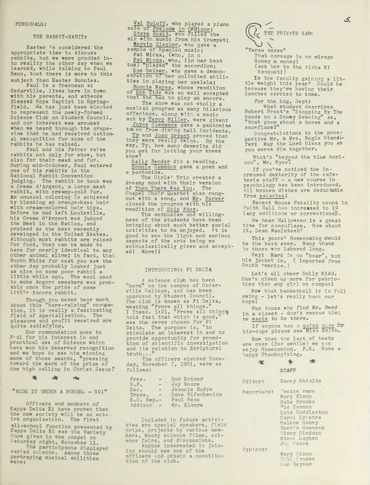# *THE* RABBIT-HABIT:

Easter is considered the appropriate time to discuss rabbits, but we were prodded into reality the other day when we learned, while talking to Paul Reno, that there is more to this subject than Easter Bunnies.

Paul is a freshman at Cedarville, lives here in town with his parents, and attends Blessed Hope Baptist in Springfield. He has just been elected to represent the newly-formed Science Club on Student Council, and our interest was aroused when we heard through the grapevine that he had received national recognition for some of the rabbits he has raised.

Paul and his father raise rabbits not only for show, but also for their meat and fur. During mid - October , Paul entered one of his rabbits in the National Rabbit Convention judging. The rabbit he took was a Creme d'Argent, a large meat rabbit, with creamy-gold fur. An unusual coloring is achieved by blending an orange-base hair with cream-colored hair tips. Before he had left Louisville, his Creme d'Argent was judged the Best in the Nation, and praised as the best recently developed in the United States. Although most rabbits are raised for food, they can be made to have fur nearly identical to any other animal alive; in fact, that North White fur coat you saw the other day probably looked just as nice on some poor rabbit a little while ago. The wool used - to make Angors sweaters was probably once the pride of some little Angora rabbit.

Though you never hear much about this "hare-r aising" occupa tion, it is really a fascinating field of specialization. The pleasure and profit received are quite satisfying.

Our commendation goes to P·ul for his interest in and practical use of Science which have won him deserved recognition and we hope to see him winning more of those awards, "pressing towsrd the mark of the prize of the high calling in Christ Jesus."

"HIDE IT UNDER A BUSHEL - NOI"

Officers and members of Kappa Delta Xi have proven that the new society will be an active organization. The first all-school function presented by Kappa Delta Xi was the Variety Show given in the chapel on Saturday night, November 11.

The participants displayed varied talents. Among those portraying musical abilities were:

Val Roloff, who played a piano solo of Prelude in C#Minor; Steve Boalt, who filled the

air with music from his trumpet; Mervin Ziegler, who gave a

sample of Spanish music; Pat Micka, (who, in h

Pat Micka, who, (in her best tux) "played" the accordion;

Sue Geiser, who gave a demonstration of her unlimited abilities in playing her ukelele;

Bonnie Mayes, whose rendition of Ebb T1de was so well accepted that she had to play an encore.

The show was not wholly a musical program as many hilarious offerings, along with a magic act by Terry Miller, were given: Joyce Clemence gave a pantomime

tacen from dining hall incidents.

Ty and Joan Bryant proved that they were really twins. By the way, Ty, how many demerits did you get for letting your knees show?

Sally Bender did a reading. Bonnie Hammack gave a poem and a pantomine.

The Girls' Trio created a dreamy mood with their version of Then There Was You. The Chapel Choir Quartet also rangout with a song, and Mr. Barker closed the program with his

rendition of <u>Ship Ahoy</u>.<br>The enthusiam and willingness of the students have been bringing about much better social activities to be enjoyed.  $It$  is good to see the light and serious aspects of the arts being so enthusiastically given and accepted! More!!

### INTRODUCING: PI DELTA

science club has been "born" on the campus of Cedarville College, and has been approved by Student Council. The club is known as Pi Delta, meaning "Prove all things." I Thess. 5:21, "Prove all things;<br>hold fast that which is good," was the verse chosen for Pi Delta. The purpose is, "to stimulate an interest in and to provide opportunity for promotion of scientific investigation and its relation to Scriptural truth..."

The officers elected Tues day, November 7, 1961, were as follows:

| Pres.           | $-$ and $-$     | Don Entner       |
|-----------------|-----------------|------------------|
| V.P.            | $\frac{1}{2}$   | Jay Moore        |
| Sec.            | $\sim$          | Jeannie DuPre    |
| Treas.          | <b>Contract</b> | Dave Rifenberick |
| $S.C.$ $Rep. -$ |                 | Paul Reno        |
| Advisor -       |                 | Mr. Elmore       |

Included in future activities are special speakers, field trips, projects by various members, Moody science films, science fairs, and discussions. Anyone interested in joining should see one of the officers and obtain a constitution of the club.

THE PRIVATE EAR:

"Terse verse"

That corsage is no mirage  $H$ oney  $=$  money! (ask her to the Alpha XI banquet!)

Is the faculty gaining a little weight this year? Could be because they're having their lunches carried to them.

For the Eng. Dept:

What student describes Robert Frost's "Stopping By The "oods on <sup>a</sup>Snowy Evening" as , "that poem about a horse and a<br>snowflake?"

Congratulations to the prospective Mr. & Mrs. Bogle Standi fer! May the Lord bless you as you serve Him together.

What's "beyond the blue horizon", Mr. Wyse?

If you've noticed the increased dexterity of the cafe teria staff - a new course in psychology has been introduced. All broken dishes are deductable from salaries !

Recent Mouse Fatality count in Faith Hall has increased to 19 ( any additions or corrections?) .

We hear Halloween is a great time for camouflage. How about it, Dean MacIntosh?

This ye <sup>a</sup>rs' Homecoming should be the best ever. Many thanx to those who labored long.

Hey! Mark is no "boar", but his jacket is. ( imported from South America.)

Let's all cheer Dolly Kidd. She's given up more for patriotism than any girl on campus!

Now that basketball is in full swing - let's really back our boys !

For those who find Mr. Reed in a closet - don't rescue him; he wants to be there.

If anyone has a quick cure for hie- cups please see Miss Smith .

Now that the last of tests are over (for awhile) we can enjoy Homecoming. P.S. Have a happy Thanksgiving

# \* \* \*

STAFF

| Fditor:    | Nancy Shinits                                                                                                                                                                     |
|------------|-----------------------------------------------------------------------------------------------------------------------------------------------------------------------------------|
| Reporters: | Tanice Amos<br>Mary Plann<br>Gale Prooks<br>Flo Cannon<br>Lois Duddleston<br>Carol Dy'stra<br>Helene Henry<br>Bonn'e Hammack<br><b>Hinny Hindman</b><br>Steve Luyben<br>Jay Moore |
| fypists:   | Mary Flann<br>THIS Frooks                                                                                                                                                         |

Sue Geyser